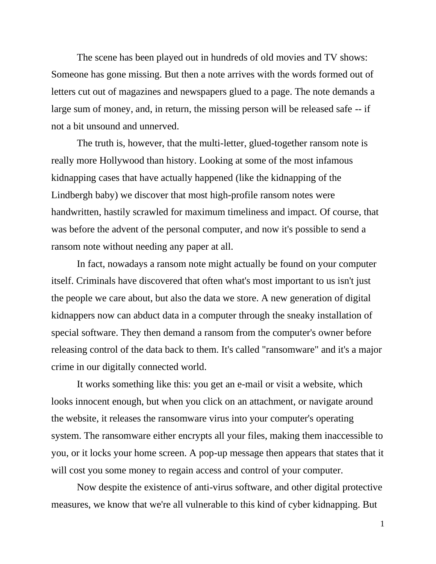The scene has been played out in hundreds of old movies and TV shows: Someone has gone missing. But then a note arrives with the words formed out of letters cut out of magazines and newspapers glued to a page. The note demands a large sum of money, and, in return, the missing person will be released safe -- if not a bit unsound and unnerved.

The truth is, however, that the multi-letter, glued-together ransom note is really more Hollywood than history. Looking at some of the most infamous kidnapping cases that have actually happened (like the kidnapping of the Lindbergh baby) we discover that most high-profile ransom notes were handwritten, hastily scrawled for maximum timeliness and impact. Of course, that was before the advent of the personal computer, and now it's possible to send a ransom note without needing any paper at all.

In fact, nowadays a ransom note might actually be found on your computer itself. Criminals have discovered that often what's most important to us isn't just the people we care about, but also the data we store. A new generation of digital kidnappers now can abduct data in a computer through the sneaky installation of special software. They then demand a ransom from the computer's owner before releasing control of the data back to them. It's called "ransomware" and it's a major crime in our digitally connected world.

It works something like this: you get an e-mail or visit a website, which looks innocent enough, but when you click on an attachment, or navigate around the website, it releases the ransomware virus into your computer's operating system. The ransomware either encrypts all your files, making them inaccessible to you, or it locks your home screen. A pop-up message then appears that states that it will cost you some money to regain access and control of your computer.

Now despite the existence of anti-virus software, and other digital protective measures, we know that we're all vulnerable to this kind of cyber kidnapping. But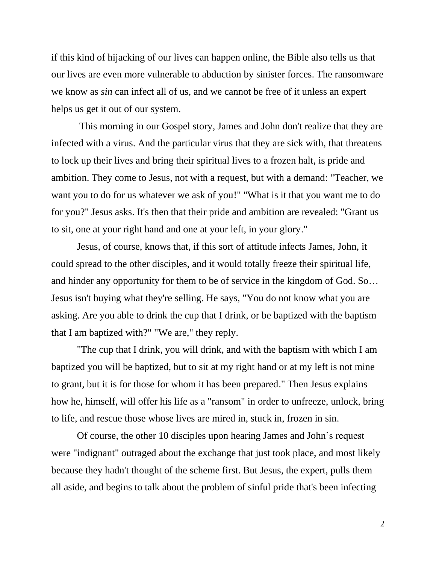if this kind of hijacking of our lives can happen online, the Bible also tells us that our lives are even more vulnerable to abduction by sinister forces. The ransomware we know as *sin* can infect all of us, and we cannot be free of it unless an expert helps us get it out of our system.

This morning in our Gospel story, James and John don't realize that they are infected with a virus. And the particular virus that they are sick with, that threatens to lock up their lives and bring their spiritual lives to a frozen halt, is pride and ambition. They come to Jesus, not with a request, but with a demand: "Teacher, we want you to do for us whatever we ask of you!" "What is it that you want me to do for you?" Jesus asks. It's then that their pride and ambition are revealed: "Grant us to sit, one at your right hand and one at your left, in your glory."

Jesus, of course, knows that, if this sort of attitude infects James, John, it could spread to the other disciples, and it would totally freeze their spiritual life, and hinder any opportunity for them to be of service in the kingdom of God. So… Jesus isn't buying what they're selling. He says, "You do not know what you are asking. Are you able to drink the cup that I drink, or be baptized with the baptism that I am baptized with?" "We are," they reply.

"The cup that I drink, you will drink, and with the baptism with which I am baptized you will be baptized, but to sit at my right hand or at my left is not mine to grant, but it is for those for whom it has been prepared." Then Jesus explains how he, himself, will offer his life as a "ransom" in order to unfreeze, unlock, bring to life, and rescue those whose lives are mired in, stuck in, frozen in sin.

Of course, the other 10 disciples upon hearing James and John's request were "indignant" outraged about the exchange that just took place, and most likely because they hadn't thought of the scheme first. But Jesus, the expert, pulls them all aside, and begins to talk about the problem of sinful pride that's been infecting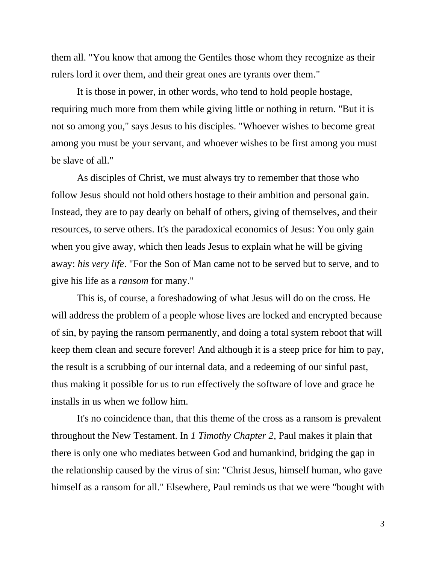them all. "You know that among the Gentiles those whom they recognize as their rulers lord it over them, and their great ones are tyrants over them."

It is those in power, in other words, who tend to hold people hostage, requiring much more from them while giving little or nothing in return. "But it is not so among you," says Jesus to his disciples. "Whoever wishes to become great among you must be your servant, and whoever wishes to be first among you must be slave of all."

As disciples of Christ, we must always try to remember that those who follow Jesus should not hold others hostage to their ambition and personal gain. Instead, they are to pay dearly on behalf of others, giving of themselves, and their resources, to serve others. It's the paradoxical economics of Jesus: You only gain when you give away, which then leads Jesus to explain what he will be giving away: *his very life*. "For the Son of Man came not to be served but to serve, and to give his life as a *ransom* for many."

This is, of course, a foreshadowing of what Jesus will do on the cross. He will address the problem of a people whose lives are locked and encrypted because of sin, by paying the ransom permanently, and doing a total system reboot that will keep them clean and secure forever! And although it is a steep price for him to pay, the result is a scrubbing of our internal data, and a redeeming of our sinful past, thus making it possible for us to run effectively the software of love and grace he installs in us when we follow him.

It's no coincidence than, that this theme of the cross as a ransom is prevalent throughout the New Testament. In *1 Timothy Chapter 2*, Paul makes it plain that there is only one who mediates between God and humankind, bridging the gap in the relationship caused by the virus of sin: "Christ Jesus, himself human, who gave himself as a ransom for all." Elsewhere, Paul reminds us that we were "bought with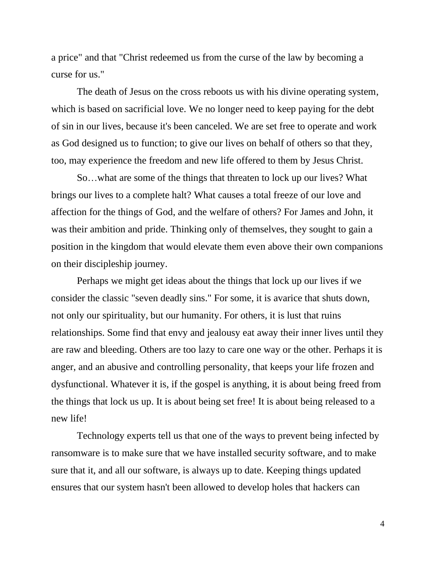a price" and that "Christ redeemed us from the curse of the law by becoming a curse for us."

The death of Jesus on the cross reboots us with his divine operating system, which is based on sacrificial love. We no longer need to keep paying for the debt of sin in our lives, because it's been canceled. We are set free to operate and work as God designed us to function; to give our lives on behalf of others so that they, too, may experience the freedom and new life offered to them by Jesus Christ.

So…what are some of the things that threaten to lock up our lives? What brings our lives to a complete halt? What causes a total freeze of our love and affection for the things of God, and the welfare of others? For James and John, it was their ambition and pride. Thinking only of themselves, they sought to gain a position in the kingdom that would elevate them even above their own companions on their discipleship journey.

Perhaps we might get ideas about the things that lock up our lives if we consider the classic "seven deadly sins." For some, it is avarice that shuts down, not only our spirituality, but our humanity. For others, it is lust that ruins relationships. Some find that envy and jealousy eat away their inner lives until they are raw and bleeding. Others are too lazy to care one way or the other. Perhaps it is anger, and an abusive and controlling personality, that keeps your life frozen and dysfunctional. Whatever it is, if the gospel is anything, it is about being freed from the things that lock us up. It is about being set free! It is about being released to a new life!

Technology experts tell us that one of the ways to prevent being infected by ransomware is to make sure that we have installed security software, and to make sure that it, and all our software, is always up to date. Keeping things updated ensures that our system hasn't been allowed to develop holes that hackers can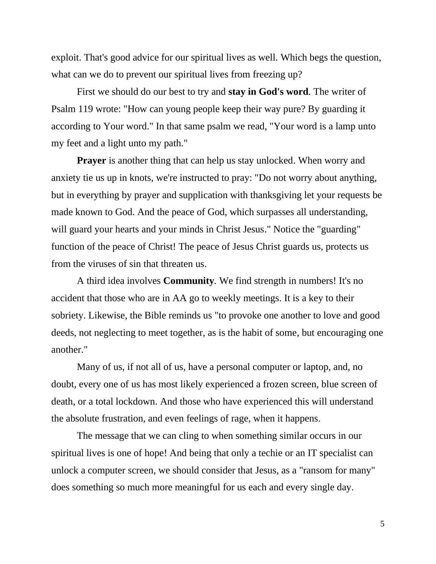exploit. That's good advice for our spiritual lives as well. Which begs the question, what can we do to prevent our spiritual lives from freezing up?

First we should do our best to try and **stay in God's word***.* The writer of Psalm 119 wrote: "How can young people keep their way pure? By guarding it according to Your word." In that same psalm we read, "Your word is a lamp unto my feet and a light unto my path."

**Prayer** is another thing that can help us stay unlocked. When worry and anxiety tie us up in knots, we're instructed to pray: "Do not worry about anything, but in everything by prayer and supplication with thanksgiving let your requests be made known to God. And the peace of God, which surpasses all understanding, will guard your hearts and your minds in Christ Jesus." Notice the "guarding" function of the peace of Christ! The peace of Jesus Christ guards us, protects us from the viruses of sin that threaten us.

A third idea involves **Community***.* We find strength in numbers! It's no accident that those who are in AA go to weekly meetings. It is a key to their sobriety. Likewise, the Bible reminds us "to provoke one another to love and good deeds, not neglecting to meet together, as is the habit of some, but encouraging one another."

Many of us, if not all of us, have a personal computer or laptop, and, no doubt, every one of us has most likely experienced a frozen screen, blue screen of death, or a total lockdown. And those who have experienced this will understand the absolute frustration, and even feelings of rage, when it happens.

The message that we can cling to when something similar occurs in our spiritual lives is one of hope! And being that only a techie or an IT specialist can unlock a computer screen, we should consider that Jesus, as a "ransom for many" does something so much more meaningful for us each and every single day.